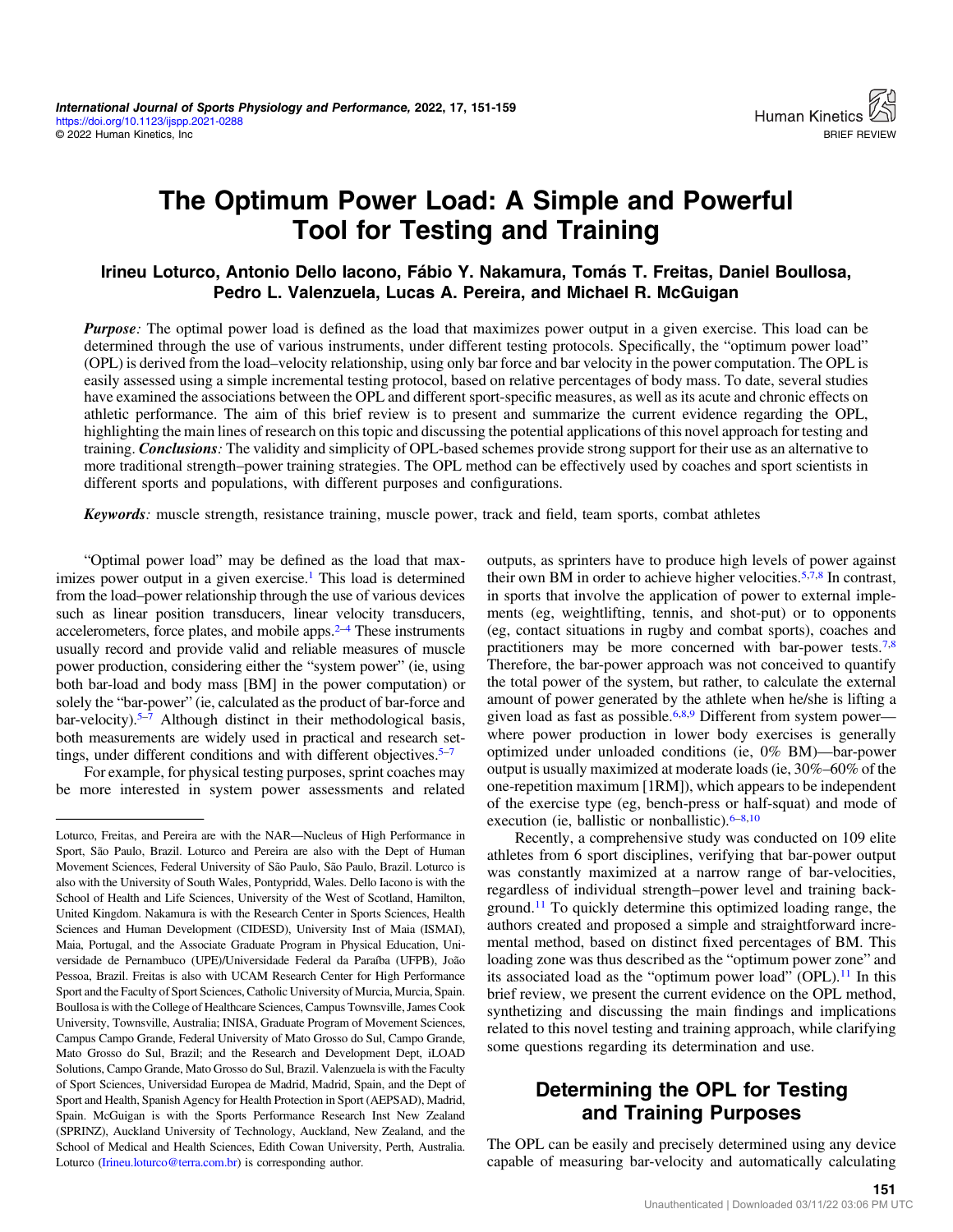# The Optimum Power Load: A Simple and Powerful Tool for Testing and Training

#### Irineu Loturco, Antonio Dello Iacono, Fábio Y. Nakamura, Tomás T. Freitas, Daniel Boullosa, Pedro L. Valenzuela, Lucas A. Pereira, and Michael R. McGuigan

**Purpose**: The optimal power load is defined as the load that maximizes power output in a given exercise. This load can be determined through the use of various instruments, under different testing protocols. Specifically, the "optimum power load" (OPL) is derived from the load–velocity relationship, using only bar force and bar velocity in the power computation. The OPL is easily assessed using a simple incremental testing protocol, based on relative percentages of body mass. To date, several studies have examined the associations between the OPL and different sport-specific measures, as well as its acute and chronic effects on athletic performance. The aim of this brief review is to present and summarize the current evidence regarding the OPL, highlighting the main lines of research on this topic and discussing the potential applications of this novel approach for testing and training. **Conclusions**: The validity and simplicity of OPL-based schemes provide strong support for their use as an alternative to more traditional strength–power training strategies. The OPL method can be effectively used by coaches and sport scientists in different sports and populations, with different purposes and configurations.

Keywords: muscle strength, resistance training, muscle power, track and field, team sports, combat athletes

"Optimal power load" may be defined as the load that maximizes power output in a given exercise.<sup>1</sup> This load is determined from the load–power relationship through the use of various devices such as linear position transducers, linear velocity transducers, accelerometers, force plates, and mobile apps. $2-4$  $2-4$  These instruments usually record and provide valid and reliable measures of muscle power production, considering either the "system power" (ie, using both bar-load and body mass [BM] in the power computation) or solely the "bar-power" (ie, calculated as the product of bar-force and bar-velocity).<sup>5–[7](#page-6-0)</sup> Although distinct in their methodological basis, both measurements are widely used in practical and research settings, under different conditions and with different objectives.  $5-7$  $5-7$  $5-7$ 

For example, for physical testing purposes, sprint coaches may be more interested in system power assessments and related outputs, as sprinters have to produce high levels of power against their own BM in order to achieve higher velocities.<sup>5,[7,8](#page-6-0)</sup> In contrast, in sports that involve the application of power to external implements (eg, weightlifting, tennis, and shot-put) or to opponents (eg, contact situations in rugby and combat sports), coaches and practitioners may be more concerned with bar-power tests.<sup>7,8</sup> Therefore, the bar-power approach was not conceived to quantify the total power of the system, but rather, to calculate the external amount of power generated by the athlete when he/she is lifting a given load as fast as possible.<sup>6,[8,9](#page-6-0)</sup> Different from system power where power production in lower body exercises is generally optimized under unloaded conditions (ie, 0% BM)—bar-power output is usually maximized at moderate loads (ie, 30%–60% of the one-repetition maximum [1RM]), which appears to be independent of the exercise type (eg, bench-press or half-squat) and mode of execution (ie, ballistic or nonballistic). $6-8,10$  $6-8,10$  $6-8,10$ 

Recently, a comprehensive study was conducted on 109 elite athletes from 6 sport disciplines, verifying that bar-power output was constantly maximized at a narrow range of bar-velocities, regardless of individual strength–power level and training background.[11](#page-6-0) To quickly determine this optimized loading range, the authors created and proposed a simple and straightforward incremental method, based on distinct fixed percentages of BM. This loading zone was thus described as the "optimum power zone" and its associated load as the "optimum power load" (OPL).<sup>[11](#page-6-0)</sup> In this brief review, we present the current evidence on the OPL method, synthetizing and discussing the main findings and implications related to this novel testing and training approach, while clarifying some questions regarding its determination and use.

# Determining the OPL for Testing and Training Purposes

The OPL can be easily and precisely determined using any device capable of measuring bar-velocity and automatically calculating

Loturco, Freitas, and Pereira are with the NAR—Nucleus of High Performance in Sport, São Paulo, Brazil. Loturco and Pereira are also with the Dept of Human Movement Sciences, Federal University of São Paulo, São Paulo, Brazil. Loturco is also with the University of South Wales, Pontypridd, Wales. Dello Iacono is with the School of Health and Life Sciences, University of the West of Scotland, Hamilton, United Kingdom. Nakamura is with the Research Center in Sports Sciences, Health Sciences and Human Development (CIDESD), University Inst of Maia (ISMAI), Maia, Portugal, and the Associate Graduate Program in Physical Education, Universidade de Pernambuco (UPE)/Universidade Federal da Paraíba (UFPB), João Pessoa, Brazil. Freitas is also with UCAM Research Center for High Performance Sport and the Faculty of Sport Sciences, Catholic University of Murcia, Murcia, Spain. Boullosa is with the College of Healthcare Sciences, Campus Townsville, James Cook University, Townsville, Australia; INISA, Graduate Program of Movement Sciences, Campus Campo Grande, Federal University of Mato Grosso do Sul, Campo Grande, Mato Grosso do Sul, Brazil; and the Research and Development Dept, iLOAD Solutions, Campo Grande, Mato Grosso do Sul, Brazil. Valenzuela is with the Faculty of Sport Sciences, Universidad Europea de Madrid, Madrid, Spain, and the Dept of Sport and Health, Spanish Agency for Health Protection in Sport (AEPSAD), Madrid, Spain. McGuigan is with the Sports Performance Research Inst New Zealand (SPRINZ), Auckland University of Technology, Auckland, New Zealand, and the School of Medical and Health Sciences, Edith Cowan University, Perth, Australia. Loturco ([Irineu.loturco@terra.com.br](mailto:Irineu.loturco@terra.com.br)) is corresponding author.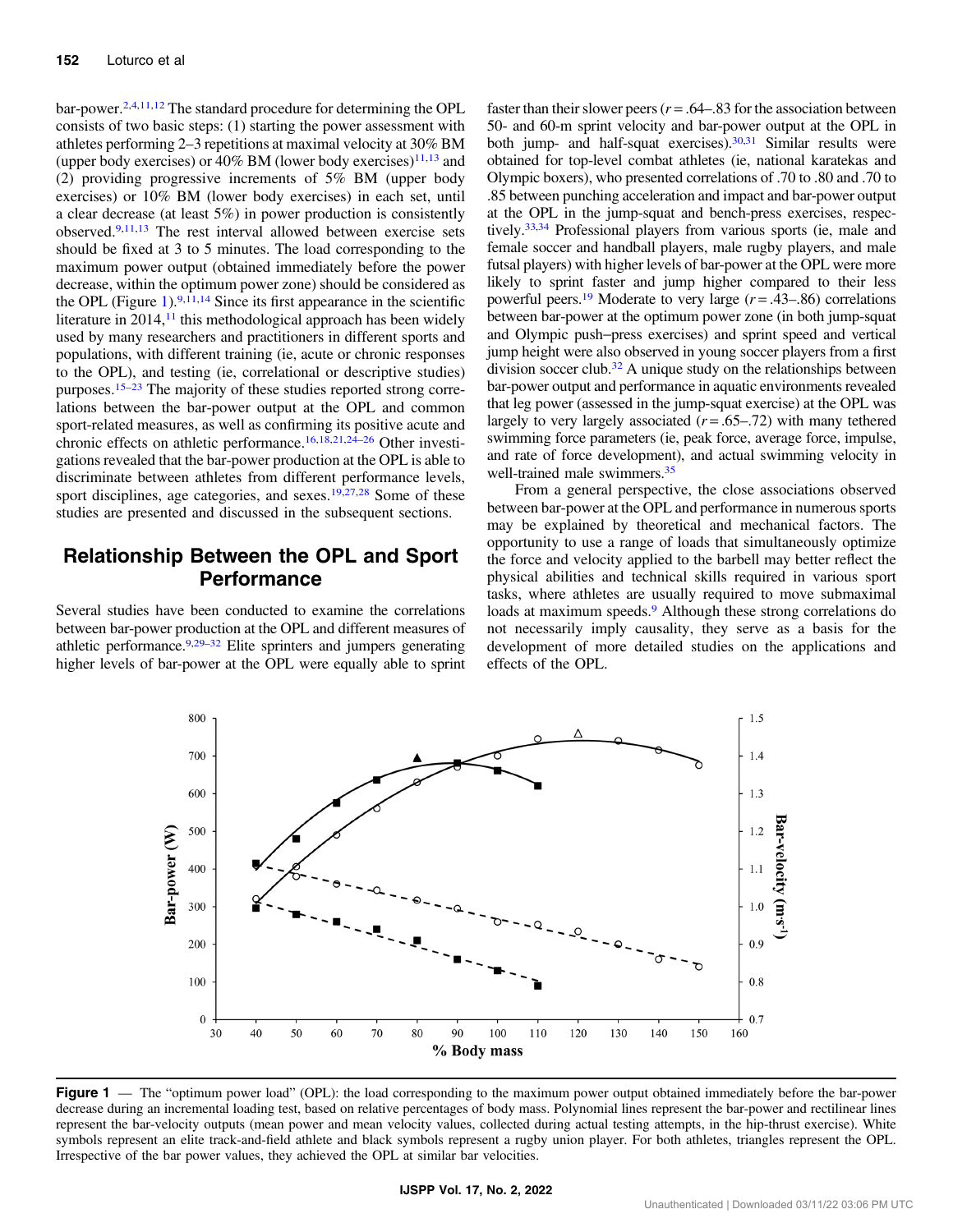bar-power[.2,4](#page-5-0),[11,12](#page-6-0) The standard procedure for determining the OPL consists of two basic steps: (1) starting the power assessment with athletes performing 2–3 repetitions at maximal velocity at 30% BM (upper body exercises) or 40% BM (lower body exercises) $11,13$  and (2) providing progressive increments of 5% BM (upper body exercises) or 10% BM (lower body exercises) in each set, until a clear decrease (at least 5%) in power production is consistently observed[.9,11,13](#page-6-0) The rest interval allowed between exercise sets should be fixed at 3 to 5 minutes. The load corresponding to the maximum power output (obtained immediately before the power decrease, within the optimum power zone) should be considered as the OPL (Figure 1).  $9,11,14$  Since its first appearance in the scientific literature in  $2014$ ,<sup> $11$ </sup> this methodological approach has been widely used by many researchers and practitioners in different sports and populations, with different training (ie, acute or chronic responses to the OPL), and testing (ie, correlational or descriptive studies) purposes.[15](#page-6-0)–[23](#page-6-0) The majority of these studies reported strong correlations between the bar-power output at the OPL and common sport-related measures, as well as confirming its positive acute and chronic effects on athletic performance[.16](#page-6-0),[18](#page-6-0),[21,24](#page-6-0)–[26](#page-6-0) Other investigations revealed that the bar-power production at the OPL is able to discriminate between athletes from different performance levels, sport disciplines, age categories, and sexes.<sup>[19,27,28](#page-6-0)</sup> Some of these studies are presented and discussed in the subsequent sections.

# Relationship Between the OPL and Sport Performance

Several studies have been conducted to examine the correlations between bar-power production at the OPL and different measures of athletic performance.<sup>9,29-[32](#page-6-0)</sup> Elite sprinters and jumpers generating higher levels of bar-power at the OPL were equally able to sprint faster than their slower peers ( $r = .64 - .83$  for the association between 50- and 60-m sprint velocity and bar-power output at the OPL in both jump- and half-squat exercises). $30,31$  Similar results were obtained for top-level combat athletes (ie, national karatekas and Olympic boxers), who presented correlations of .70 to .80 and .70 to .85 between punching acceleration and impact and bar-power output at the OPL in the jump-squat and bench-press exercises, respectively.<sup>33,34</sup> Professional players from various sports (ie, male and female soccer and handball players, male rugby players, and male futsal players) with higher levels of bar-power at the OPL were more likely to sprint faster and jump higher compared to their less powerful peers.<sup>19</sup> Moderate to very large  $(r = .43-.86)$  correlations between bar-power at the optimum power zone (in both jump-squat and Olympic push−press exercises) and sprint speed and vertical jump height were also observed in young soccer players from a first division soccer club.<sup>32</sup> A unique study on the relationships between bar-power output and performance in aquatic environments revealed that leg power (assessed in the jump-squat exercise) at the OPL was largely to very largely associated  $(r = .65-.72)$  with many tethered swimming force parameters (ie, peak force, average force, impulse, and rate of force development), and actual swimming velocity in well-trained male swimmers.<sup>35</sup>

From a general perspective, the close associations observed between bar-power at the OPL and performance in numerous sports may be explained by theoretical and mechanical factors. The opportunity to use a range of loads that simultaneously optimize the force and velocity applied to the barbell may better reflect the physical abilities and technical skills required in various sport tasks, where athletes are usually required to move submaximal loads at maximum speeds.<sup>[9](#page-6-0)</sup> Although these strong correlations do not necessarily imply causality, they serve as a basis for the development of more detailed studies on the applications and effects of the OPL.



**Figure 1** — The "optimum power load" (OPL): the load corresponding to the maximum power output obtained immediately before the bar-power decrease during an incremental loading test, based on relative percentages of body mass. Polynomial lines represent the bar-power and rectilinear lines represent the bar-velocity outputs (mean power and mean velocity values, collected during actual testing attempts, in the hip-thrust exercise). White symbols represent an elite track-and-field athlete and black symbols represent a rugby union player. For both athletes, triangles represent the OPL. Irrespective of the bar power values, they achieved the OPL at similar bar velocities.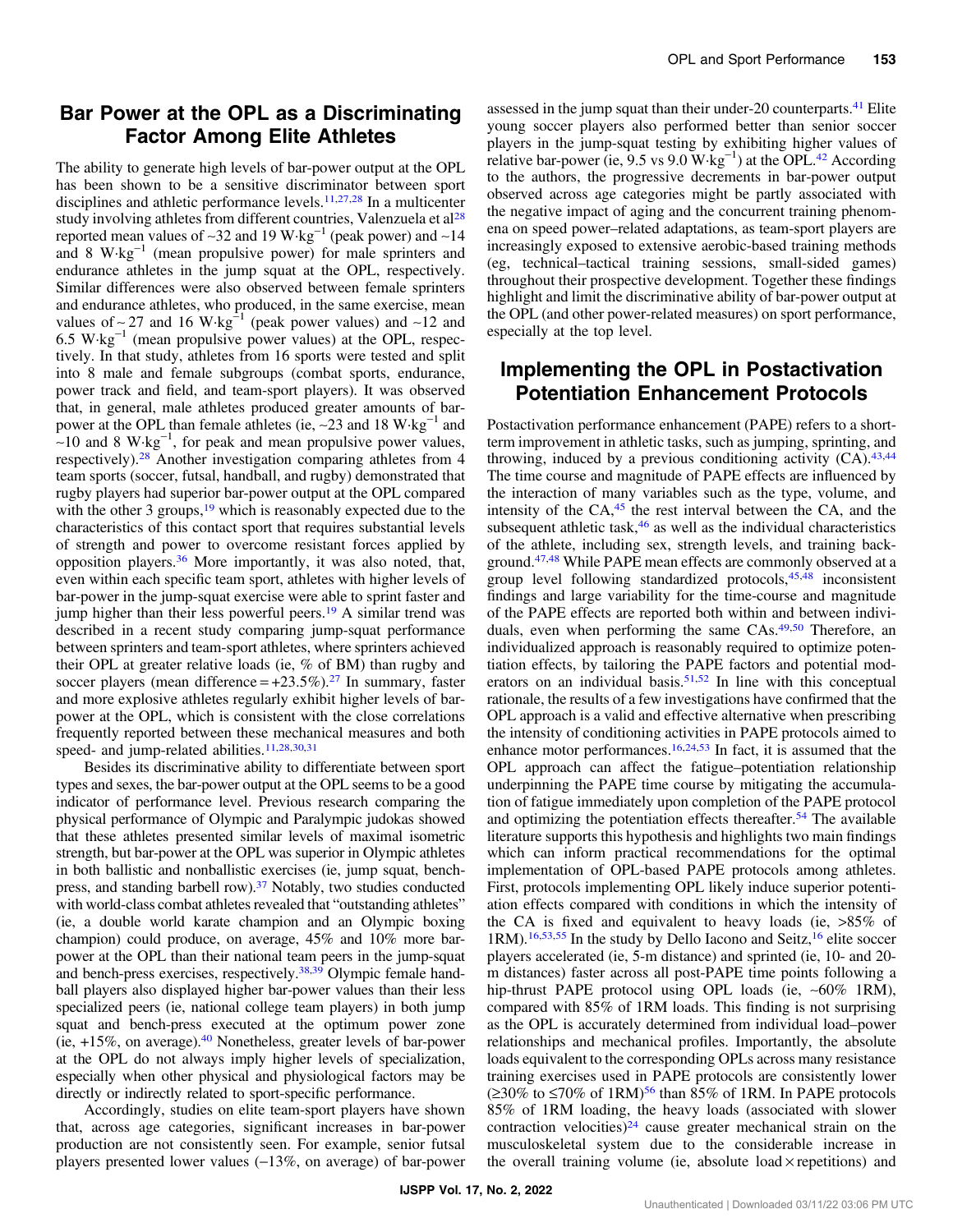#### Bar Power at the OPL as a Discriminating Factor Among Elite Athletes

The ability to generate high levels of bar-power output at the OPL has been shown to be a sensitive discriminator between sport disciplines and athletic performance levels[.11,27,28](#page-6-0) In a multicenter study involving athletes from different countries, Valenzuela et al<sup>[28](#page-6-0)</sup> reported mean values of ~32 and 19 W⋅kg<sup>-1</sup> (peak power) and ~14 and 8 W·kg−<sup>1</sup> (mean propulsive power) for male sprinters and endurance athletes in the jump squat at the OPL, respectively. Similar differences were also observed between female sprinters and endurance athletes, who produced, in the same exercise, mean values of ~27 and 16 W⋅kg<sup>-1</sup> (peak power values) and ~12 and 6.5 W·kg−<sup>1</sup> (mean propulsive power values) at the OPL, respectively. In that study, athletes from 16 sports were tested and split into 8 male and female subgroups (combat sports, endurance, power track and field, and team-sport players). It was observed that, in general, male athletes produced greater amounts of barpower at the OPL than female athletes (ie, ∼23 and 18 W·kg−<sup>1</sup> and  $~\sim$ 10 and 8 W·kg<sup>-1</sup>, for peak and mean propulsive power values, respectively)[.28](#page-6-0) Another investigation comparing athletes from 4 team sports (soccer, futsal, handball, and rugby) demonstrated that rugby players had superior bar-power output at the OPL compared with the other 3 groups,  $19$  which is reasonably expected due to the characteristics of this contact sport that requires substantial levels of strength and power to overcome resistant forces applied by opposition players[.36](#page-6-0) More importantly, it was also noted, that, even within each specific team sport, athletes with higher levels of bar-power in the jump-squat exercise were able to sprint faster and jump higher than their less powerful peers.<sup>19</sup> A similar trend was described in a recent study comparing jump-squat performance between sprinters and team-sport athletes, where sprinters achieved their OPL at greater relative loads (ie, % of BM) than rugby and soccer players (mean difference  $= +23.5\%$ ).<sup>[27](#page-6-0)</sup> In summary, faster and more explosive athletes regularly exhibit higher levels of barpower at the OPL, which is consistent with the close correlations frequently reported between these mechanical measures and both speed- and jump-related abilities.<sup>11,28,30,[31](#page-6-0)</sup>

Besides its discriminative ability to differentiate between sport types and sexes, the bar-power output at the OPL seems to be a good indicator of performance level. Previous research comparing the physical performance of Olympic and Paralympic judokas showed that these athletes presented similar levels of maximal isometric strength, but bar-power at the OPL was superior in Olympic athletes in both ballistic and nonballistic exercises (ie, jump squat, bench-press, and standing barbell row).<sup>[37](#page-7-0)</sup> Notably, two studies conducted with world-class combat athletes revealed that "outstanding athletes" (ie, a double world karate champion and an Olympic boxing champion) could produce, on average, 45% and 10% more barpower at the OPL than their national team peers in the jump-squat and bench-press exercises, respectively[.38,39](#page-7-0) Olympic female handball players also displayed higher bar-power values than their less specialized peers (ie, national college team players) in both jump squat and bench-press executed at the optimum power zone  $(ie, +15\%)$ , on average).<sup>40</sup> Nonetheless, greater levels of bar-power at the OPL do not always imply higher levels of specialization, especially when other physical and physiological factors may be directly or indirectly related to sport-specific performance.

Accordingly, studies on elite team-sport players have shown that, across age categories, significant increases in bar-power production are not consistently seen. For example, senior futsal players presented lower values (−13%, on average) of bar-power assessed in the jump squat than their under-20 counterparts.<sup>41</sup> Elite young soccer players also performed better than senior soccer players in the jump-squat testing by exhibiting higher values of relative bar-power (ie,  $9.5$  vs  $9.0$  W·kg<sup>-1</sup>) at the OPL.<sup>[42](#page-7-0)</sup> According to the authors, the progressive decrements in bar-power output observed across age categories might be partly associated with the negative impact of aging and the concurrent training phenomena on speed power–related adaptations, as team-sport players are increasingly exposed to extensive aerobic-based training methods (eg, technical–tactical training sessions, small-sided games) throughout their prospective development. Together these findings highlight and limit the discriminative ability of bar-power output at the OPL (and other power-related measures) on sport performance, especially at the top level.

# Implementing the OPL in Postactivation Potentiation Enhancement Protocols

Postactivation performance enhancement (PAPE) refers to a shortterm improvement in athletic tasks, such as jumping, sprinting, and throwing, induced by a previous conditioning activity  $(CA)$ .  $43,44$  $43,44$  $43,44$ The time course and magnitude of PAPE effects are influenced by the interaction of many variables such as the type, volume, and intensity of the  $CA<sub>1</sub><sup>45</sup>$  $CA<sub>1</sub><sup>45</sup>$  $CA<sub>1</sub><sup>45</sup>$  the rest interval between the CA, and the subsequent athletic task, $46$  as well as the individual characteristics of the athlete, including sex, strength levels, and training background.[47,48](#page-7-0) While PAPE mean effects are commonly observed at a group level following standardized protocols, $45,48$  inconsistent findings and large variability for the time-course and magnitude of the PAPE effects are reported both within and between individuals, even when performing the same CAs.<sup>49,50</sup> Therefore, an individualized approach is reasonably required to optimize potentiation effects, by tailoring the PAPE factors and potential moderators on an individual basis.  $51,52$  In line with this conceptual rationale, the results of a few investigations have confirmed that the OPL approach is a valid and effective alternative when prescribing the intensity of conditioning activities in PAPE protocols aimed to enhance motor performances.<sup>16,24,[53](#page-7-0)</sup> In fact, it is assumed that the OPL approach can affect the fatigue–potentiation relationship underpinning the PAPE time course by mitigating the accumulation of fatigue immediately upon completion of the PAPE protocol and optimizing the potentiation effects thereafter.<sup>[54](#page-7-0)</sup> The available literature supports this hypothesis and highlights two main findings which can inform practical recommendations for the optimal implementation of OPL-based PAPE protocols among athletes. First, protocols implementing OPL likely induce superior potentiation effects compared with conditions in which the intensity of the CA is fixed and equivalent to heavy loads (ie, >85% of 1RM).<sup>16[,53,55](#page-7-0)</sup> In the study by Dello Iacono and Seitz,<sup>[16](#page-6-0)</sup> elite soccer players accelerated (ie, 5-m distance) and sprinted (ie, 10- and 20 m distances) faster across all post-PAPE time points following a hip-thrust PAPE protocol using OPL loads (ie, ∼60% 1RM), compared with 85% of 1RM loads. This finding is not surprising as the OPL is accurately determined from individual load–power relationships and mechanical profiles. Importantly, the absolute loads equivalent to the corresponding OPLs across many resistance training exercises used in PAPE protocols are consistently lower (≥30% to ≤70% of 1RM)<sup>56</sup> than 85% of 1RM. In PAPE protocols 85% of 1RM loading, the heavy loads (associated with slower contraction velocities)<sup>24</sup> cause greater mechanical strain on the musculoskeletal system due to the considerable increase in the overall training volume (ie, absolute load  $\times$  repetitions) and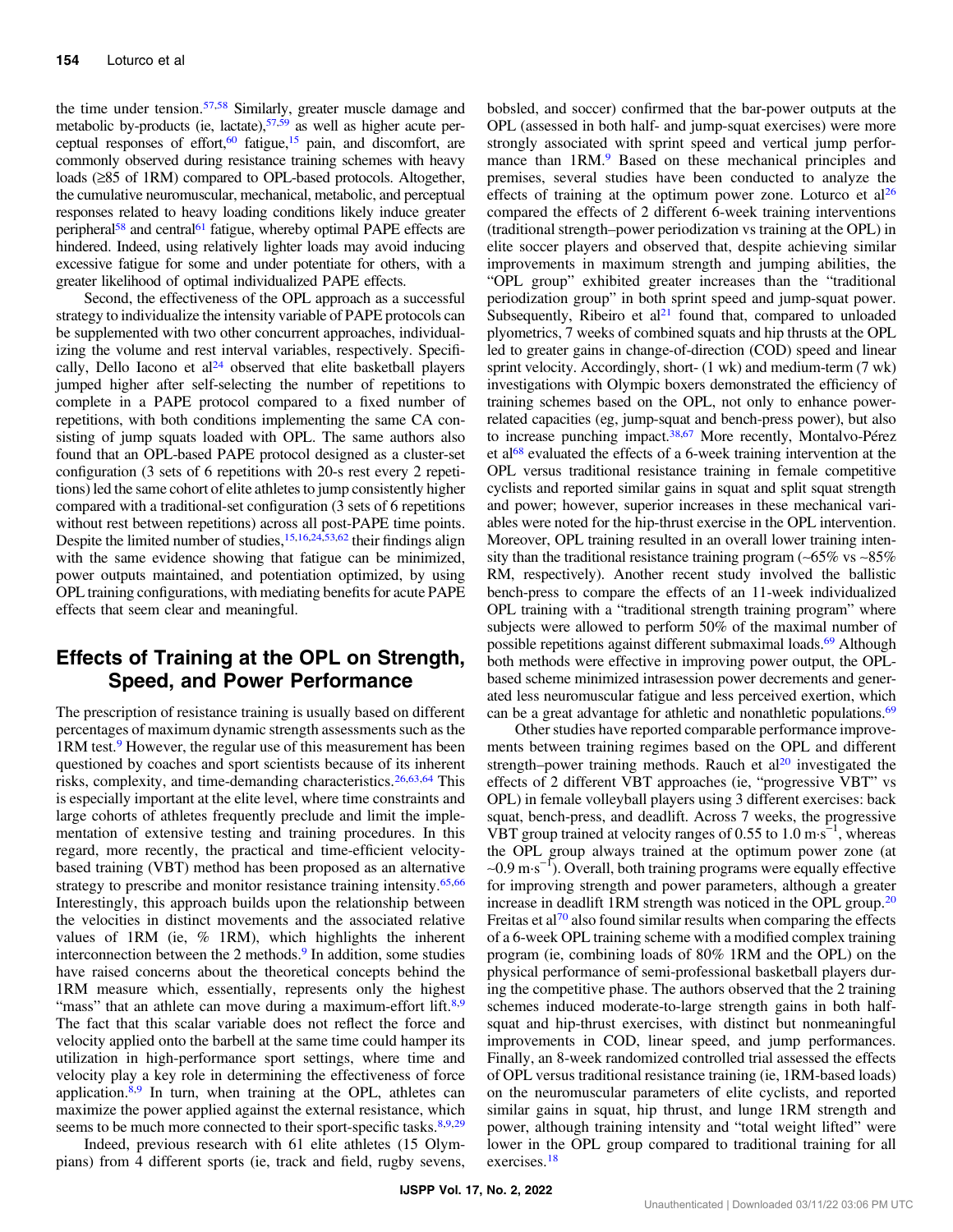the time under tension.<sup>[57,58](#page-7-0)</sup> Similarly, greater muscle damage and metabolic by-products (ie, lactate), $57,59$  as well as higher acute perceptual responses of effort,  $60$  fatigue,  $15$  pain, and discomfort, are commonly observed during resistance training schemes with heavy loads (≥85 of 1RM) compared to OPL-based protocols. Altogether, the cumulative neuromuscular, mechanical, metabolic, and perceptual responses related to heavy loading conditions likely induce greater peripheral<sup>58</sup> and central<sup>[61](#page-7-0)</sup> fatigue, whereby optimal PAPE effects are hindered. Indeed, using relatively lighter loads may avoid inducing excessive fatigue for some and under potentiate for others, with a greater likelihood of optimal individualized PAPE effects.

Second, the effectiveness of the OPL approach as a successful strategy to individualize the intensity variable of PAPE protocols can be supplemented with two other concurrent approaches, individualizing the volume and rest interval variables, respectively. Specifically, Dello Iacono et al $24$  observed that elite basketball players jumped higher after self-selecting the number of repetitions to complete in a PAPE protocol compared to a fixed number of repetitions, with both conditions implementing the same CA consisting of jump squats loaded with OPL. The same authors also found that an OPL-based PAPE protocol designed as a cluster-set configuration (3 sets of 6 repetitions with 20-s rest every 2 repetitions) led the same cohort of elite athletes to jump consistently higher compared with a traditional-set configuration (3 sets of 6 repetitions without rest between repetitions) across all post-PAPE time points. Despite the limited number of studies,<sup>[15,16](#page-6-0),[24](#page-6-0)[,53,62](#page-7-0)</sup> their findings align with the same evidence showing that fatigue can be minimized, power outputs maintained, and potentiation optimized, by using OPL training configurations, with mediating benefits for acute PAPE effects that seem clear and meaningful.

# Effects of Training at the OPL on Strength, Speed, and Power Performance

The prescription of resistance training is usually based on different percentages of maximum dynamic strength assessments such as the 1RM test.[9](#page-6-0) However, the regular use of this measurement has been questioned by coaches and sport scientists because of its inherent risks, complexity, and time-demanding characteristics.<sup>[26,](#page-6-0)[63,64](#page-7-0)</sup> This is especially important at the elite level, where time constraints and large cohorts of athletes frequently preclude and limit the implementation of extensive testing and training procedures. In this regard, more recently, the practical and time-efficient velocitybased training (VBT) method has been proposed as an alternative strategy to prescribe and monitor resistance training intensity.<sup>[65](#page-7-0),[66](#page-7-0)</sup> Interestingly, this approach builds upon the relationship between the velocities in distinct movements and the associated relative values of 1RM (ie, % 1RM), which highlights the inherent interconnection between the 2 methods.<sup>[9](#page-6-0)</sup> In addition, some studies have raised concerns about the theoretical concepts behind the 1RM measure which, essentially, represents only the highest "mass" that an athlete can move during a maximum-effort lift.<sup>8,9</sup> The fact that this scalar variable does not reflect the force and velocity applied onto the barbell at the same time could hamper its utilization in high-performance sport settings, where time and velocity play a key role in determining the effectiveness of force application. $8,9$  $8,9$  In turn, when training at the OPL, athletes can maximize the power applied against the external resistance, which seems to be much more connected to their sport-specific tasks.<sup>8,9,[29](#page-6-0)</sup>

Indeed, previous research with 61 elite athletes (15 Olympians) from 4 different sports (ie, track and field, rugby sevens, bobsled, and soccer) confirmed that the bar-power outputs at the OPL (assessed in both half- and jump-squat exercises) were more strongly associated with sprint speed and vertical jump performance than 1RM.<sup>9</sup> Based on these mechanical principles and premises, several studies have been conducted to analyze the effects of training at the optimum power zone. Loturco et  $al<sup>26</sup>$  $al<sup>26</sup>$  $al<sup>26</sup>$ compared the effects of 2 different 6-week training interventions (traditional strength–power periodization vs training at the OPL) in elite soccer players and observed that, despite achieving similar improvements in maximum strength and jumping abilities, the "OPL group" exhibited greater increases than the "traditional periodization group" in both sprint speed and jump-squat power. Subsequently, Ribeiro et  $al<sup>21</sup>$  $al<sup>21</sup>$  $al<sup>21</sup>$  found that, compared to unloaded plyometrics, 7 weeks of combined squats and hip thrusts at the OPL led to greater gains in change-of-direction (COD) speed and linear sprint velocity. Accordingly, short- (1 wk) and medium-term (7 wk) investigations with Olympic boxers demonstrated the efficiency of training schemes based on the OPL, not only to enhance powerrelated capacities (eg, jump-squat and bench-press power), but also to increase punching impact[.38](#page-7-0),[67](#page-8-0) More recently, Montalvo-Pérez et al<sup>[68](#page-8-0)</sup> evaluated the effects of a 6-week training intervention at the OPL versus traditional resistance training in female competitive cyclists and reported similar gains in squat and split squat strength and power; however, superior increases in these mechanical variables were noted for the hip-thrust exercise in the OPL intervention. Moreover, OPL training resulted in an overall lower training intensity than the traditional resistance training program (∼65% vs ∼85% RM, respectively). Another recent study involved the ballistic bench-press to compare the effects of an 11-week individualized OPL training with a "traditional strength training program" where subjects were allowed to perform 50% of the maximal number of possible repetitions against different submaximal loads.<sup>69</sup> Although both methods were effective in improving power output, the OPLbased scheme minimized intrasession power decrements and generated less neuromuscular fatigue and less perceived exertion, which can be a great advantage for athletic and nonathletic populations.<sup>69</sup>

Other studies have reported comparable performance improvements between training regimes based on the OPL and different strength–power training methods. Rauch et  $al<sup>20</sup>$  investigated the effects of 2 different VBT approaches (ie, "progressive VBT" vs OPL) in female volleyball players using 3 different exercises: back squat, bench-press, and deadlift. Across 7 weeks, the progressive VBT group trained at velocity ranges of 0.55 to 1.0 m·s−<sup>1</sup> , whereas the OPL group always trained at the optimum power zone (at ∼0.9 m·s−<sup>1</sup> ). Overall, both training programs were equally effective for improving strength and power parameters, although a greater increase in deadlift 1RM strength was noticed in the OPL group.<sup>[20](#page-6-0)</sup> Freitas et al<sup>[70](#page-8-0)</sup> also found similar results when comparing the effects of a 6-week OPL training scheme with a modified complex training program (ie, combining loads of 80% 1RM and the OPL) on the physical performance of semi-professional basketball players during the competitive phase. The authors observed that the 2 training schemes induced moderate-to-large strength gains in both halfsquat and hip-thrust exercises, with distinct but nonmeaningful improvements in COD, linear speed, and jump performances. Finally, an 8-week randomized controlled trial assessed the effects of OPL versus traditional resistance training (ie, 1RM-based loads) on the neuromuscular parameters of elite cyclists, and reported similar gains in squat, hip thrust, and lunge 1RM strength and power, although training intensity and "total weight lifted" were lower in the OPL group compared to traditional training for all exercises.[18](#page-6-0)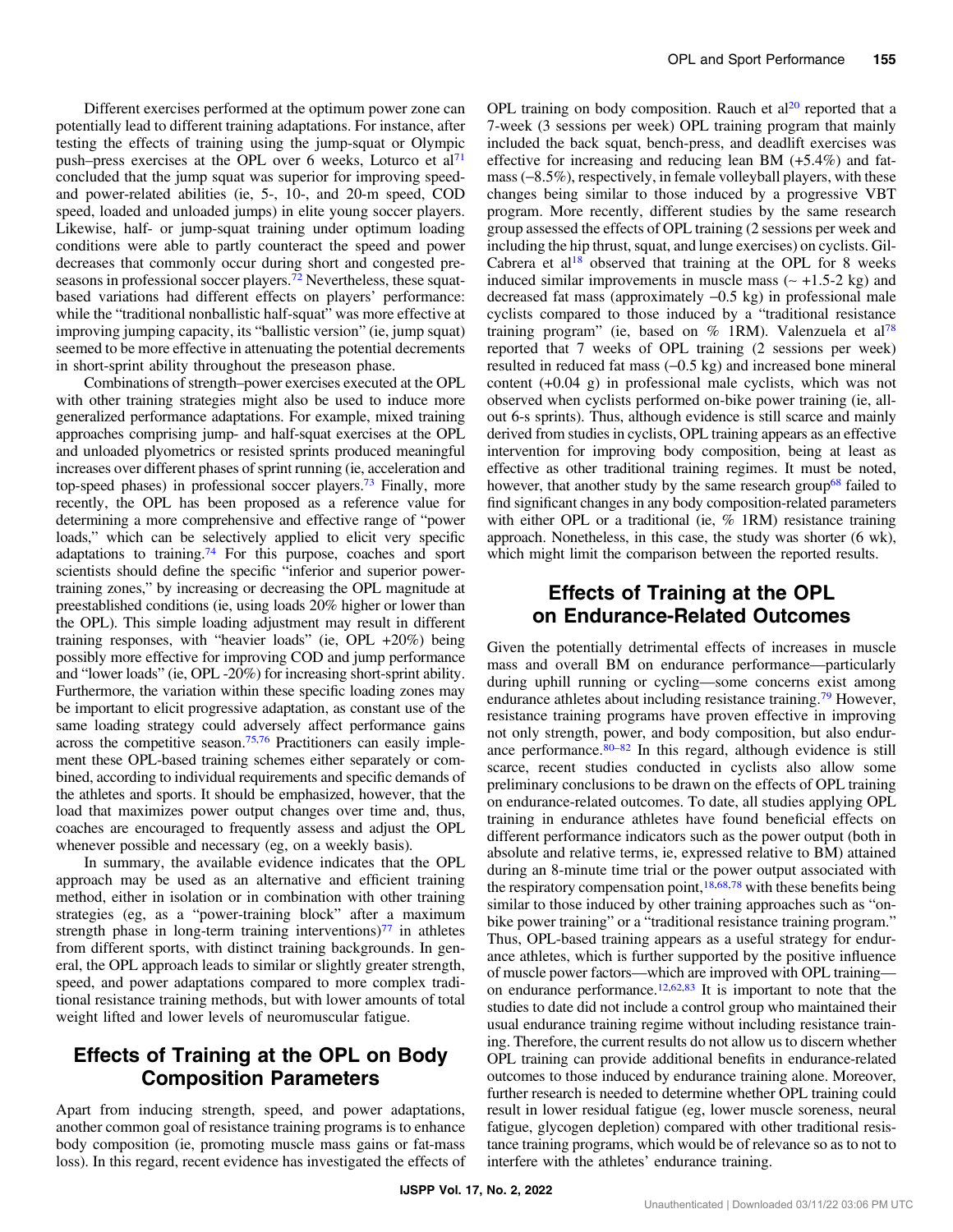Different exercises performed at the optimum power zone can potentially lead to different training adaptations. For instance, after testing the effects of training using the jump-squat or Olympic push–press exercises at the OPL over 6 weeks, Loturco et al<sup>[71](#page-8-0)</sup> concluded that the jump squat was superior for improving speedand power-related abilities (ie, 5-, 10-, and 20-m speed, COD speed, loaded and unloaded jumps) in elite young soccer players. Likewise, half- or jump-squat training under optimum loading conditions were able to partly counteract the speed and power decreases that commonly occur during short and congested preseasons in professional soccer players[.72](#page-8-0) Nevertheless, these squatbased variations had different effects on players' performance: while the "traditional nonballistic half-squat" was more effective at improving jumping capacity, its "ballistic version" (ie, jump squat) seemed to be more effective in attenuating the potential decrements in short-sprint ability throughout the preseason phase.

Combinations of strength–power exercises executed at the OPL with other training strategies might also be used to induce more generalized performance adaptations. For example, mixed training approaches comprising jump- and half-squat exercises at the OPL and unloaded plyometrics or resisted sprints produced meaningful increases over different phases of sprint running (ie, acceleration and top-speed phases) in professional soccer players.[73](#page-8-0) Finally, more recently, the OPL has been proposed as a reference value for determining a more comprehensive and effective range of "power loads," which can be selectively applied to elicit very specific adaptations to training.<sup>[74](#page-8-0)</sup> For this purpose, coaches and sport scientists should define the specific "inferior and superior powertraining zones," by increasing or decreasing the OPL magnitude at preestablished conditions (ie, using loads 20% higher or lower than the OPL). This simple loading adjustment may result in different training responses, with "heavier loads" (ie, OPL +20%) being possibly more effective for improving COD and jump performance and "lower loads" (ie, OPL -20%) for increasing short-sprint ability. Furthermore, the variation within these specific loading zones may be important to elicit progressive adaptation, as constant use of the same loading strategy could adversely affect performance gains across the competitive season.[75,76](#page-8-0) Practitioners can easily implement these OPL-based training schemes either separately or combined, according to individual requirements and specific demands of the athletes and sports. It should be emphasized, however, that the load that maximizes power output changes over time and, thus, coaches are encouraged to frequently assess and adjust the OPL whenever possible and necessary (eg, on a weekly basis).

In summary, the available evidence indicates that the OPL approach may be used as an alternative and efficient training method, either in isolation or in combination with other training strategies (eg, as a "power-training block" after a maximum strength phase in long-term training interventions) $77$  in athletes from different sports, with distinct training backgrounds. In general, the OPL approach leads to similar or slightly greater strength, speed, and power adaptations compared to more complex traditional resistance training methods, but with lower amounts of total weight lifted and lower levels of neuromuscular fatigue.

#### Effects of Training at the OPL on Body Composition Parameters

Apart from inducing strength, speed, and power adaptations, another common goal of resistance training programs is to enhance body composition (ie, promoting muscle mass gains or fat-mass loss). In this regard, recent evidence has investigated the effects of OPL training on body composition. Rauch et  $al<sup>20</sup>$  $al<sup>20</sup>$  $al<sup>20</sup>$  reported that a 7-week (3 sessions per week) OPL training program that mainly included the back squat, bench-press, and deadlift exercises was effective for increasing and reducing lean BM (+5.4%) and fatmass (−8.5%), respectively, in female volleyball players, with these changes being similar to those induced by a progressive VBT program. More recently, different studies by the same research group assessed the effects of OPL training (2 sessions per week and including the hip thrust, squat, and lunge exercises) on cyclists. Gil-Cabrera et  $al^{18}$  observed that training at the OPL for 8 weeks induced similar improvements in muscle mass (∼ +1.5-2 kg) and decreased fat mass (approximately −0.5 kg) in professional male cyclists compared to those induced by a "traditional resistance training program" (ie, based on  $%$  1RM). Valenzuela et al<sup>[78](#page-8-0)</sup> reported that 7 weeks of OPL training (2 sessions per week) resulted in reduced fat mass (−0.5 kg) and increased bone mineral content (+0.04 g) in professional male cyclists, which was not observed when cyclists performed on-bike power training (ie, allout 6-s sprints). Thus, although evidence is still scarce and mainly derived from studies in cyclists, OPL training appears as an effective intervention for improving body composition, being at least as effective as other traditional training regimes. It must be noted, however, that another study by the same research group<sup>[68](#page-8-0)</sup> failed to find significant changes in any body composition-related parameters with either OPL or a traditional (ie, % 1RM) resistance training approach. Nonetheless, in this case, the study was shorter (6 wk), which might limit the comparison between the reported results.

#### Effects of Training at the OPL on Endurance-Related Outcomes

Given the potentially detrimental effects of increases in muscle mass and overall BM on endurance performance—particularly during uphill running or cycling—some concerns exist among endurance athletes about including resistance training.[79](#page-8-0) However, resistance training programs have proven effective in improving not only strength, power, and body composition, but also endurance performance. $80-82$  $80-82$  $80-82$  In this regard, although evidence is still scarce, recent studies conducted in cyclists also allow some preliminary conclusions to be drawn on the effects of OPL training on endurance-related outcomes. To date, all studies applying OPL training in endurance athletes have found beneficial effects on different performance indicators such as the power output (both in absolute and relative terms, ie, expressed relative to BM) attained during an 8-minute time trial or the power output associated with the respiratory compensation point,  $18,68,78$  $18,68,78$  $18,68,78$  $18,68,78$  with these benefits being similar to those induced by other training approaches such as "onbike power training" or a "traditional resistance training program." Thus, OPL-based training appears as a useful strategy for endurance athletes, which is further supported by the positive influence of muscle power factors—which are improved with OPL training— on endurance performance.<sup>[12,](#page-6-0)[62](#page-7-0),[83](#page-8-0)</sup> It is important to note that the studies to date did not include a control group who maintained their usual endurance training regime without including resistance training. Therefore, the current results do not allow us to discern whether OPL training can provide additional benefits in endurance-related outcomes to those induced by endurance training alone. Moreover, further research is needed to determine whether OPL training could result in lower residual fatigue (eg, lower muscle soreness, neural fatigue, glycogen depletion) compared with other traditional resistance training programs, which would be of relevance so as to not to interfere with the athletes' endurance training.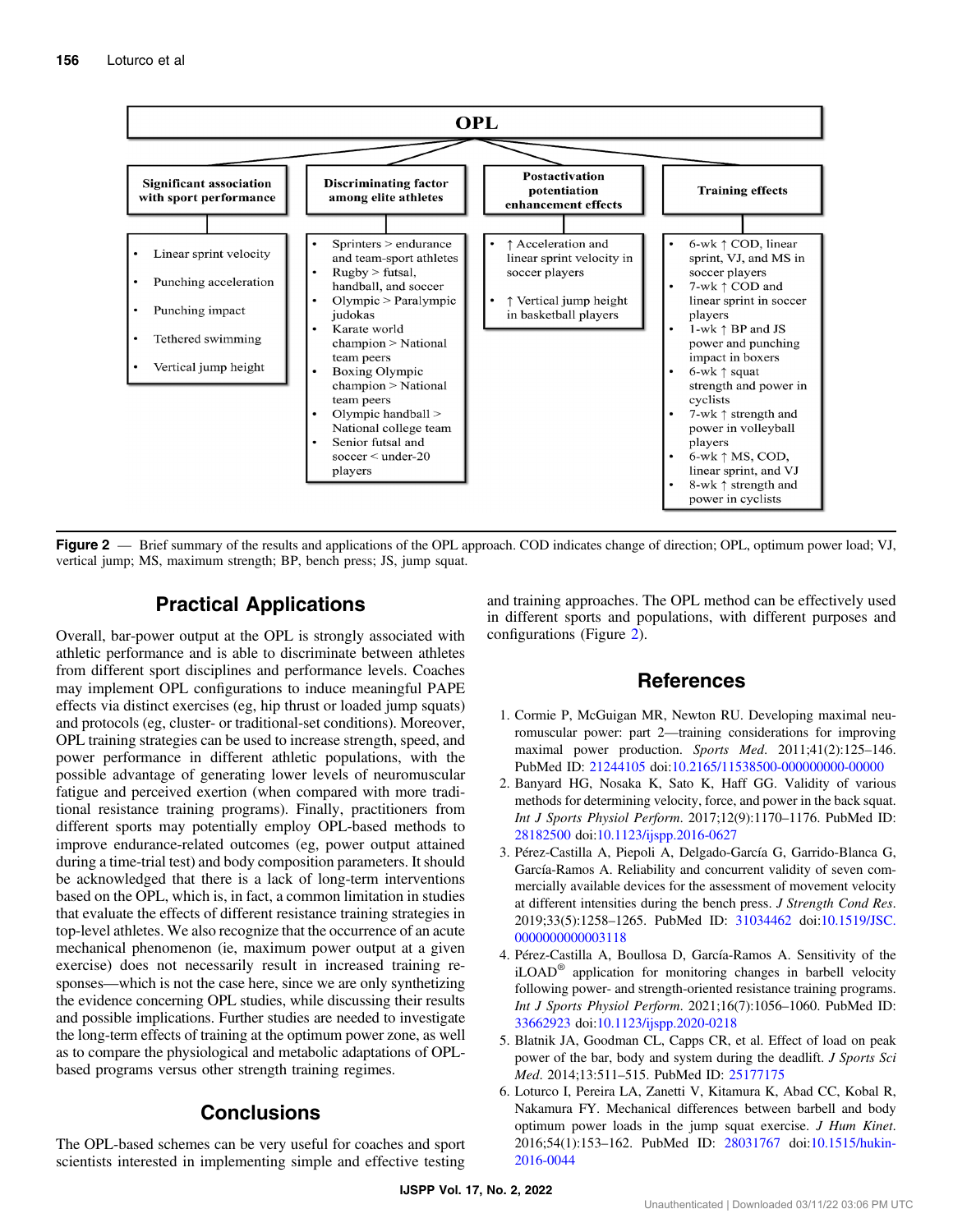<span id="page-5-0"></span>

Figure 2 — Brief summary of the results and applications of the OPL approach. COD indicates change of direction; OPL, optimum power load; VJ, vertical jump; MS, maximum strength; BP, bench press; JS, jump squat.

#### Practical Applications

Overall, bar-power output at the OPL is strongly associated with athletic performance and is able to discriminate between athletes from different sport disciplines and performance levels. Coaches may implement OPL configurations to induce meaningful PAPE effects via distinct exercises (eg, hip thrust or loaded jump squats) and protocols (eg, cluster- or traditional-set conditions). Moreover, OPL training strategies can be used to increase strength, speed, and power performance in different athletic populations, with the possible advantage of generating lower levels of neuromuscular fatigue and perceived exertion (when compared with more traditional resistance training programs). Finally, practitioners from different sports may potentially employ OPL-based methods to improve endurance-related outcomes (eg, power output attained during a time-trial test) and body composition parameters. It should be acknowledged that there is a lack of long-term interventions based on the OPL, which is, in fact, a common limitation in studies that evaluate the effects of different resistance training strategies in top-level athletes. We also recognize that the occurrence of an acute mechanical phenomenon (ie, maximum power output at a given exercise) does not necessarily result in increased training responses—which is not the case here, since we are only synthetizing the evidence concerning OPL studies, while discussing their results and possible implications. Further studies are needed to investigate the long-term effects of training at the optimum power zone, as well as to compare the physiological and metabolic adaptations of OPLbased programs versus other strength training regimes.

# Conclusions

The OPL-based schemes can be very useful for coaches and sport scientists interested in implementing simple and effective testing and training approaches. The OPL method can be effectively used in different sports and populations, with different purposes and configurations (Figure 2).

#### References

- 1. Cormie P, McGuigan MR, Newton RU. Developing maximal neuromuscular power: part 2—training considerations for improving maximal power production. Sports Med. 2011;41(2):125–146. PubMed ID: [21244105](http://www.ncbi.nlm.nih.gov/pubmed/21244105?dopt=Abstract) doi:[10.2165/11538500-000000000-00000](https://doi.org/10.2165/11538500-000000000-00000)
- 2. Banyard HG, Nosaka K, Sato K, Haff GG. Validity of various methods for determining velocity, force, and power in the back squat. Int J Sports Physiol Perform. 2017;12(9):1170–1176. PubMed ID: [28182500](http://www.ncbi.nlm.nih.gov/pubmed/28182500?dopt=Abstract) doi:[10.1123/ijspp.2016-0627](https://doi.org/10.1123/ijspp.2016-0627)
- 3. Pérez-Castilla A, Piepoli A, Delgado-García G, Garrido-Blanca G, García-Ramos A. Reliability and concurrent validity of seven commercially available devices for the assessment of movement velocity at different intensities during the bench press. J Strength Cond Res. 2019;33(5):1258–1265. PubMed ID: [31034462](http://www.ncbi.nlm.nih.gov/pubmed/31034462?dopt=Abstract) doi:[10.1519/JSC.](https://doi.org/10.1519/JSC.0000000000003118) [0000000000003118](https://doi.org/10.1519/JSC.0000000000003118)
- 4. Pérez-Castilla A, Boullosa D, García-Ramos A. Sensitivity of the iLOAD® application for monitoring changes in barbell velocity following power- and strength-oriented resistance training programs. Int J Sports Physiol Perform. 2021;16(7):1056–1060. PubMed ID: [33662923](http://www.ncbi.nlm.nih.gov/pubmed/33662923?dopt=Abstract) doi:[10.1123/ijspp.2020-0218](https://doi.org/10.1123/ijspp.2020-0218)
- 5. Blatnik JA, Goodman CL, Capps CR, et al. Effect of load on peak power of the bar, body and system during the deadlift. *J Sports Sci* Med. 2014;13:511–515. PubMed ID: [25177175](http://www.ncbi.nlm.nih.gov/pubmed/25177175?dopt=Abstract)
- 6. Loturco I, Pereira LA, Zanetti V, Kitamura K, Abad CC, Kobal R, Nakamura FY. Mechanical differences between barbell and body optimum power loads in the jump squat exercise. J Hum Kinet. 2016;54(1):153–162. PubMed ID: [28031767](http://www.ncbi.nlm.nih.gov/pubmed/28031767?dopt=Abstract) doi[:10.1515/hukin-](https://doi.org/10.1515/hukin-2016-0044)[2016-0044](https://doi.org/10.1515/hukin-2016-0044)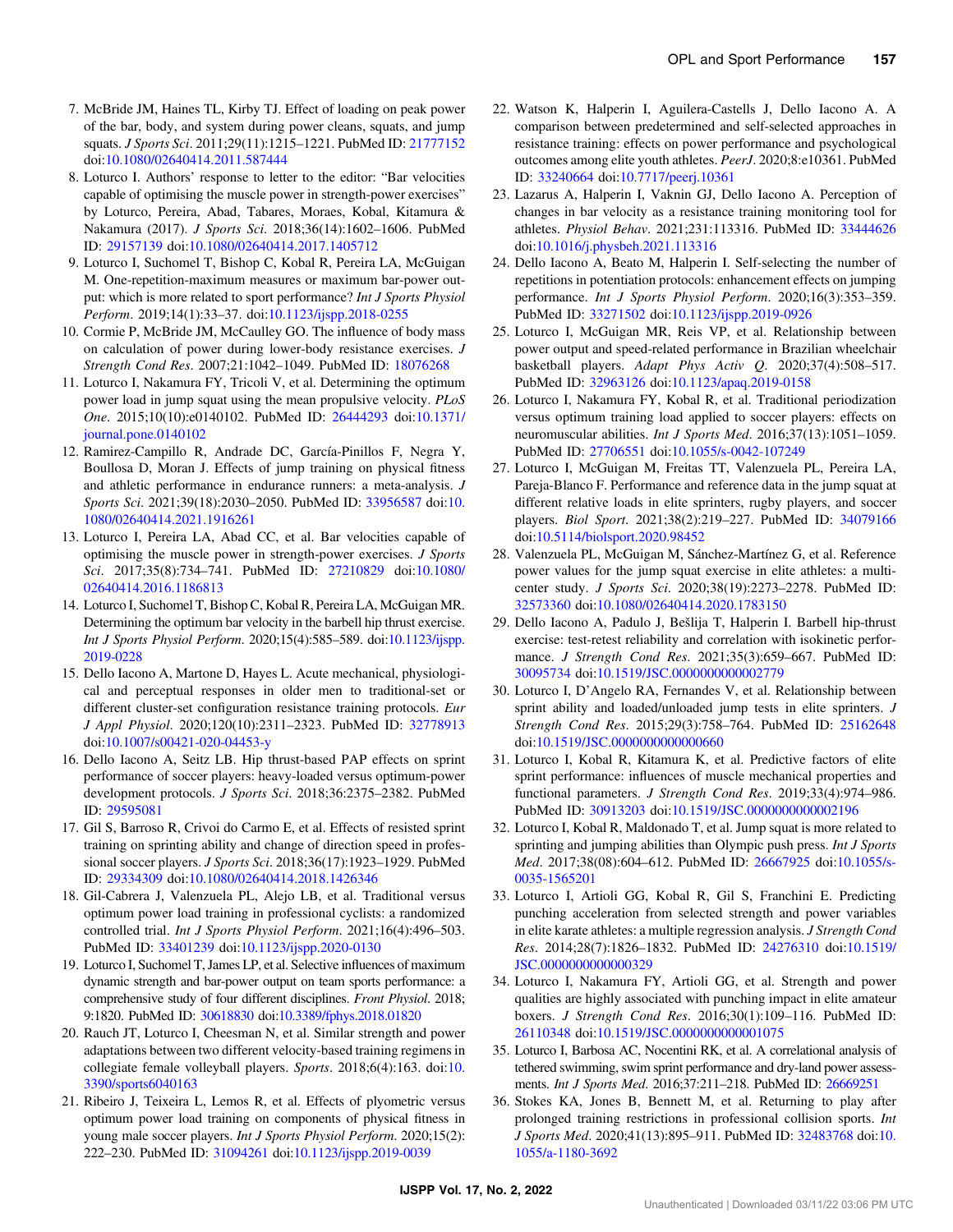- <span id="page-6-0"></span>7. McBride JM, Haines TL, Kirby TJ. Effect of loading on peak power of the bar, body, and system during power cleans, squats, and jump squats. J Sports Sci. 2011;29(11):1215–1221. PubMed ID: [21777152](http://www.ncbi.nlm.nih.gov/pubmed/21777152?dopt=Abstract) doi:[10.1080/02640414.2011.587444](https://doi.org/10.1080/02640414.2011.587444)
- 8. Loturco I. Authors' response to letter to the editor: "Bar velocities capable of optimising the muscle power in strength-power exercises" by Loturco, Pereira, Abad, Tabares, Moraes, Kobal, Kitamura & Nakamura (2017). J Sports Sci. 2018;36(14):1602–1606. PubMed ID: [29157139](http://www.ncbi.nlm.nih.gov/pubmed/29157139?dopt=Abstract) doi[:10.1080/02640414.2017.1405712](https://doi.org/10.1080/02640414.2017.1405712)
- 9. Loturco I, Suchomel T, Bishop C, Kobal R, Pereira LA, McGuigan M. One-repetition-maximum measures or maximum bar-power output: which is more related to sport performance? Int J Sports Physiol Perform. 2019;14(1):33–37. doi[:10.1123/ijspp.2018-0255](https://doi.org/10.1123/ijspp.2018-0255)
- 10. Cormie P, McBride JM, McCaulley GO. The influence of body mass on calculation of power during lower-body resistance exercises. J Strength Cond Res. 2007;21:1042–1049. PubMed ID: [18076268](http://www.ncbi.nlm.nih.gov/pubmed/18076268?dopt=Abstract)
- 11. Loturco I, Nakamura FY, Tricoli V, et al. Determining the optimum power load in jump squat using the mean propulsive velocity. PLoS One. 2015;10(10):e0140102. PubMed ID: [26444293](http://www.ncbi.nlm.nih.gov/pubmed/26444293?dopt=Abstract) doi[:10.1371/](https://doi.org/10.1371/journal.pone.0140102) [journal.pone.0140102](https://doi.org/10.1371/journal.pone.0140102)
- 12. Ramirez-Campillo R, Andrade DC, García-Pinillos F, Negra Y, Boullosa D, Moran J. Effects of jump training on physical fitness and athletic performance in endurance runners: a meta-analysis. J Sports Sci. 2021;39(18):2030–2050. PubMed ID: [33956587](http://www.ncbi.nlm.nih.gov/pubmed/33956587?dopt=Abstract) doi:[10.](https://doi.org/10.1080/02640414.2021.1916261) [1080/02640414.2021.1916261](https://doi.org/10.1080/02640414.2021.1916261)
- 13. Loturco I, Pereira LA, Abad CC, et al. Bar velocities capable of optimising the muscle power in strength-power exercises. J Sports Sci. 2017;35(8):734–741. PubMed ID: [27210829](http://www.ncbi.nlm.nih.gov/pubmed/27210829?dopt=Abstract) doi[:10.1080/](https://doi.org/10.1080/02640414.2016.1186813) [02640414.2016.1186813](https://doi.org/10.1080/02640414.2016.1186813)
- 14. Loturco I, Suchomel T, Bishop C, Kobal R, Pereira LA, McGuigan MR. Determining the optimum bar velocity in the barbell hip thrust exercise. Int J Sports Physiol Perform. 2020;15(4):585–589. doi:[10.1123/ijspp.](https://doi.org/10.1123/ijspp.2019-0228) [2019-0228](https://doi.org/10.1123/ijspp.2019-0228)
- 15. Dello Iacono A, Martone D, Hayes L. Acute mechanical, physiological and perceptual responses in older men to traditional-set or different cluster-set configuration resistance training protocols. Eur J Appl Physiol. 2020;120(10):2311–2323. PubMed ID: [32778913](http://www.ncbi.nlm.nih.gov/pubmed/32778913?dopt=Abstract) doi:[10.1007/s00421-020-04453-y](https://doi.org/10.1007/s00421-020-04453-y)
- 16. Dello Iacono A, Seitz LB. Hip thrust-based PAP effects on sprint performance of soccer players: heavy-loaded versus optimum-power development protocols. J Sports Sci. 2018;36:2375–2382. PubMed ID: [29595081](http://www.ncbi.nlm.nih.gov/pubmed/29595081?dopt=Abstract)
- 17. Gil S, Barroso R, Crivoi do Carmo E, et al. Effects of resisted sprint training on sprinting ability and change of direction speed in professional soccer players. J Sports Sci. 2018;36(17):1923–1929. PubMed ID: [29334309](http://www.ncbi.nlm.nih.gov/pubmed/29334309?dopt=Abstract) doi[:10.1080/02640414.2018.1426346](https://doi.org/10.1080/02640414.2018.1426346)
- 18. Gil-Cabrera J, Valenzuela PL, Alejo LB, et al. Traditional versus optimum power load training in professional cyclists: a randomized controlled trial. Int J Sports Physiol Perform. 2021;16(4):496–503. PubMed ID: [33401239](http://www.ncbi.nlm.nih.gov/pubmed/33401239?dopt=Abstract) doi:[10.1123/ijspp.2020-0130](https://doi.org/10.1123/ijspp.2020-0130)
- 19. Loturco I, Suchomel T, James LP, et al. Selective influences of maximum dynamic strength and bar-power output on team sports performance: a comprehensive study of four different disciplines. Front Physiol. 2018; 9:1820. PubMed ID: [30618830](http://www.ncbi.nlm.nih.gov/pubmed/30618830?dopt=Abstract) doi[:10.3389/fphys.2018.01820](https://doi.org/10.3389/fphys.2018.01820)
- 20. Rauch JT, Loturco I, Cheesman N, et al. Similar strength and power adaptations between two different velocity-based training regimens in collegiate female volleyball players. Sports. 2018;6(4):163. doi:[10.](https://doi.org/10.3390/sports6040163) [3390/sports6040163](https://doi.org/10.3390/sports6040163)
- 21. Ribeiro J, Teixeira L, Lemos R, et al. Effects of plyometric versus optimum power load training on components of physical fitness in young male soccer players. Int J Sports Physiol Perform. 2020;15(2): 222–230. PubMed ID: [31094261](http://www.ncbi.nlm.nih.gov/pubmed/31094261?dopt=Abstract) doi:[10.1123/ijspp.2019-0039](https://doi.org/10.1123/ijspp.2019-0039)
- 22. Watson K, Halperin I, Aguilera-Castells J, Dello Iacono A. A comparison between predetermined and self-selected approaches in resistance training: effects on power performance and psychological outcomes among elite youth athletes. PeerJ. 2020;8:e10361. PubMed ID: [33240664](http://www.ncbi.nlm.nih.gov/pubmed/33240664?dopt=Abstract) doi[:10.7717/peerj.10361](https://doi.org/10.7717/peerj.10361)
- 23. Lazarus A, Halperin I, Vaknin GJ, Dello Iacono A. Perception of changes in bar velocity as a resistance training monitoring tool for athletes. Physiol Behav. 2021;231:113316. PubMed ID: [33444626](http://www.ncbi.nlm.nih.gov/pubmed/33444626?dopt=Abstract) doi:[10.1016/j.physbeh.2021.113316](https://doi.org/10.1016/j.physbeh.2021.113316)
- 24. Dello Iacono A, Beato M, Halperin I. Self-selecting the number of repetitions in potentiation protocols: enhancement effects on jumping performance. Int J Sports Physiol Perform. 2020;16(3):353–359. PubMed ID: [33271502](http://www.ncbi.nlm.nih.gov/pubmed/33271502?dopt=Abstract) doi:[10.1123/ijspp.2019-0926](https://doi.org/10.1123/ijspp.2019-0926)
- 25. Loturco I, McGuigan MR, Reis VP, et al. Relationship between power output and speed-related performance in Brazilian wheelchair basketball players. Adapt Phys Activ Q. 2020;37(4):508–517. PubMed ID: [32963126](http://www.ncbi.nlm.nih.gov/pubmed/32963126?dopt=Abstract) doi:[10.1123/apaq.2019-0158](https://doi.org/10.1123/apaq.2019-0158)
- 26. Loturco I, Nakamura FY, Kobal R, et al. Traditional periodization versus optimum training load applied to soccer players: effects on neuromuscular abilities. Int J Sports Med. 2016;37(13):1051–1059. PubMed ID: [27706551](http://www.ncbi.nlm.nih.gov/pubmed/27706551?dopt=Abstract) doi:[10.1055/s-0042-107249](https://doi.org/10.1055/s-0042-107249)
- 27. Loturco I, McGuigan M, Freitas TT, Valenzuela PL, Pereira LA, Pareja-Blanco F. Performance and reference data in the jump squat at different relative loads in elite sprinters, rugby players, and soccer players. Biol Sport. 2021;38(2):219–227. PubMed ID: [34079166](http://www.ncbi.nlm.nih.gov/pubmed/34079166?dopt=Abstract) doi:[10.5114/biolsport.2020.98452](https://doi.org/10.5114/biolsport.2020.98452)
- 28. Valenzuela PL, McGuigan M, Sánchez-Martínez G, et al. Reference power values for the jump squat exercise in elite athletes: a multicenter study. J Sports Sci. 2020;38(19):2273–2278. PubMed ID: [32573360](http://www.ncbi.nlm.nih.gov/pubmed/32573360?dopt=Abstract) doi:[10.1080/02640414.2020.1783150](https://doi.org/10.1080/02640414.2020.1783150)
- 29. Dello Iacono A, Padulo J, Bešlija T, Halperin I. Barbell hip-thrust exercise: test-retest reliability and correlation with isokinetic performance. J Strength Cond Res. 2021;35(3):659–667. PubMed ID: [30095734](http://www.ncbi.nlm.nih.gov/pubmed/30095734?dopt=Abstract) doi:[10.1519/JSC.0000000000002779](https://doi.org/10.1519/JSC.0000000000002779)
- 30. Loturco I, D'Angelo RA, Fernandes V, et al. Relationship between sprint ability and loaded/unloaded jump tests in elite sprinters. J Strength Cond Res. 2015;29(3):758–764. PubMed ID: [25162648](http://www.ncbi.nlm.nih.gov/pubmed/25162648?dopt=Abstract) doi:[10.1519/JSC.0000000000000660](https://doi.org/10.1519/JSC.0000000000000660)
- 31. Loturco I, Kobal R, Kitamura K, et al. Predictive factors of elite sprint performance: influences of muscle mechanical properties and functional parameters. J Strength Cond Res. 2019;33(4):974–986. PubMed ID: [30913203](http://www.ncbi.nlm.nih.gov/pubmed/30913203?dopt=Abstract) doi:[10.1519/JSC.0000000000002196](https://doi.org/10.1519/JSC.0000000000002196)
- 32. Loturco I, Kobal R, Maldonado T, et al. Jump squat is more related to sprinting and jumping abilities than Olympic push press. Int J Sports Med. 2017;38(08):604–612. PubMed ID: [26667925](http://www.ncbi.nlm.nih.gov/pubmed/26667925?dopt=Abstract) doi:[10.1055/s-](https://doi.org/10.1055/s-0035-1565201)[0035-1565201](https://doi.org/10.1055/s-0035-1565201)
- 33. Loturco I, Artioli GG, Kobal R, Gil S, Franchini E. Predicting punching acceleration from selected strength and power variables in elite karate athletes: a multiple regression analysis. J Strength Cond Res. 2014;28(7):1826–1832. PubMed ID: [24276310](http://www.ncbi.nlm.nih.gov/pubmed/24276310?dopt=Abstract) doi[:10.1519/](https://doi.org/10.1519/JSC.0000000000000329) [JSC.0000000000000329](https://doi.org/10.1519/JSC.0000000000000329)
- 34. Loturco I, Nakamura FY, Artioli GG, et al. Strength and power qualities are highly associated with punching impact in elite amateur boxers. J Strength Cond Res. 2016;30(1):109–116. PubMed ID: [26110348](http://www.ncbi.nlm.nih.gov/pubmed/26110348?dopt=Abstract) doi:[10.1519/JSC.0000000000001075](https://doi.org/10.1519/JSC.0000000000001075)
- 35. Loturco I, Barbosa AC, Nocentini RK, et al. A correlational analysis of tethered swimming, swim sprint performance and dry-land power assessments. Int J Sports Med. 2016;37:211–218. PubMed ID: [26669251](http://www.ncbi.nlm.nih.gov/pubmed/26669251?dopt=Abstract)
- 36. Stokes KA, Jones B, Bennett M, et al. Returning to play after prolonged training restrictions in professional collision sports. Int J Sports Med. 2020;41(13):895–911. PubMed ID: [32483768](http://www.ncbi.nlm.nih.gov/pubmed/32483768?dopt=Abstract) doi:[10.](https://doi.org/10.1055/a-1180-3692) [1055/a-1180-3692](https://doi.org/10.1055/a-1180-3692)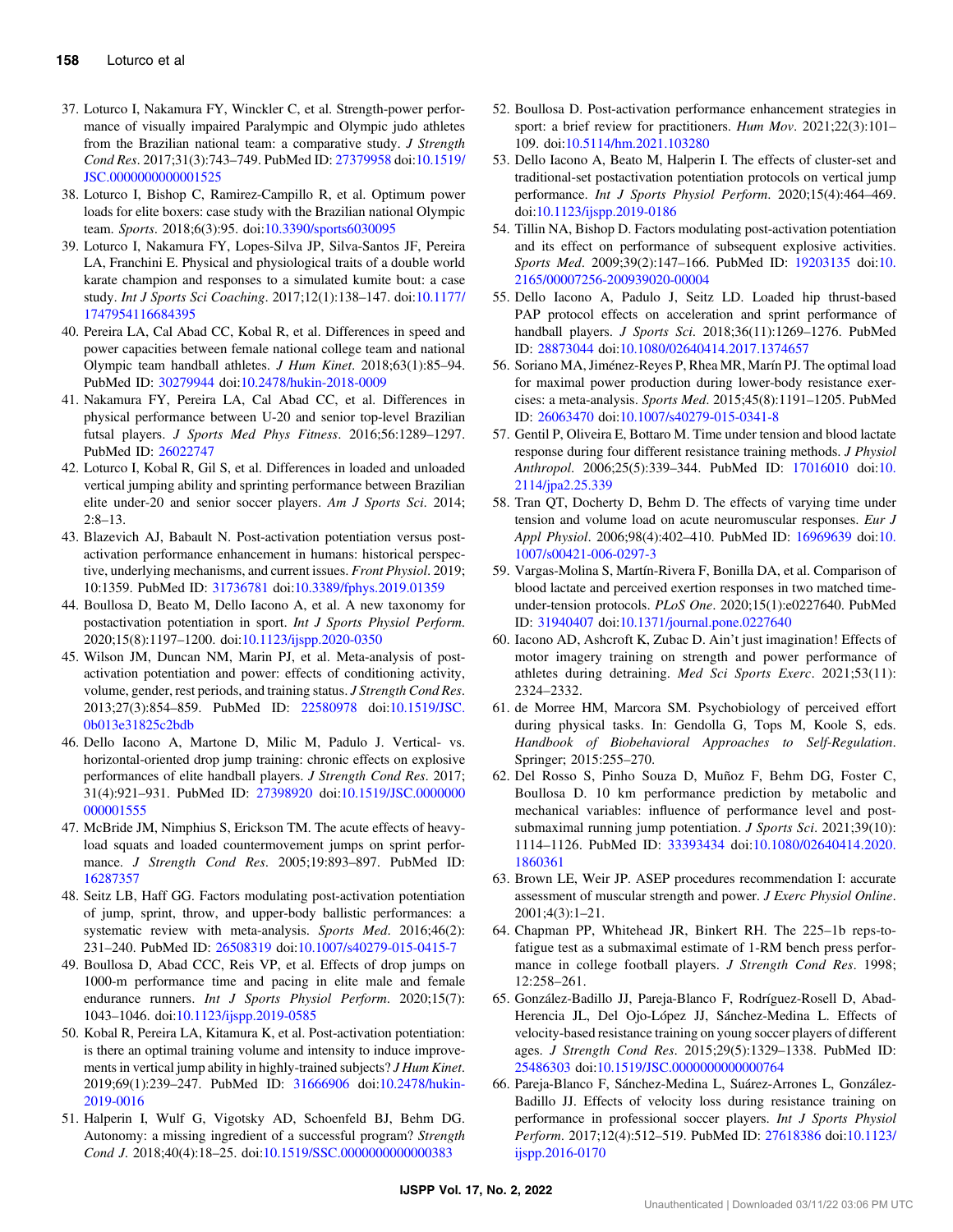- <span id="page-7-0"></span>37. Loturco I, Nakamura FY, Winckler C, et al. Strength-power performance of visually impaired Paralympic and Olympic judo athletes from the Brazilian national team: a comparative study. J Strength Cond Res. 2017;31(3):743–749. PubMed ID: [27379958](http://www.ncbi.nlm.nih.gov/pubmed/27379958?dopt=Abstract) doi[:10.1519/](https://doi.org/10.1519/JSC.0000000000001525) [JSC.0000000000001525](https://doi.org/10.1519/JSC.0000000000001525)
- 38. Loturco I, Bishop C, Ramirez-Campillo R, et al. Optimum power loads for elite boxers: case study with the Brazilian national Olympic team. Sports. 2018;6(3):95. doi[:10.3390/sports6030095](https://doi.org/10.3390/sports6030095)
- 39. Loturco I, Nakamura FY, Lopes-Silva JP, Silva-Santos JF, Pereira LA, Franchini E. Physical and physiological traits of a double world karate champion and responses to a simulated kumite bout: a case study. Int J Sports Sci Coaching. 2017;12(1):138–147. doi[:10.1177/](https://doi.org/10.1177/1747954116684395) [1747954116684395](https://doi.org/10.1177/1747954116684395)
- 40. Pereira LA, Cal Abad CC, Kobal R, et al. Differences in speed and power capacities between female national college team and national Olympic team handball athletes. J Hum Kinet. 2018;63(1):85–94. PubMed ID: [30279944](http://www.ncbi.nlm.nih.gov/pubmed/30279944?dopt=Abstract) doi:[10.2478/hukin-2018-0009](https://doi.org/10.2478/hukin-2018-0009)
- 41. Nakamura FY, Pereira LA, Cal Abad CC, et al. Differences in physical performance between U-20 and senior top-level Brazilian futsal players. J Sports Med Phys Fitness. 2016;56:1289–1297. PubMed ID: [26022747](http://www.ncbi.nlm.nih.gov/pubmed/26022747?dopt=Abstract)
- 42. Loturco I, Kobal R, Gil S, et al. Differences in loaded and unloaded vertical jumping ability and sprinting performance between Brazilian elite under-20 and senior soccer players. Am J Sports Sci. 2014; 2:8–13.
- 43. Blazevich AJ, Babault N. Post-activation potentiation versus postactivation performance enhancement in humans: historical perspective, underlying mechanisms, and current issues. Front Physiol. 2019; 10:1359. PubMed ID: [31736781](http://www.ncbi.nlm.nih.gov/pubmed/31736781?dopt=Abstract) doi[:10.3389/fphys.2019.01359](https://doi.org/10.3389/fphys.2019.01359)
- 44. Boullosa D, Beato M, Dello Iacono A, et al. A new taxonomy for postactivation potentiation in sport. Int J Sports Physiol Perform. 2020;15(8):1197–1200. doi:[10.1123/ijspp.2020-0350](https://doi.org/10.1123/ijspp.2020-0350)
- 45. Wilson JM, Duncan NM, Marin PJ, et al. Meta-analysis of postactivation potentiation and power: effects of conditioning activity, volume, gender, rest periods, and training status. J Strength Cond Res. 2013;27(3):854–859. PubMed ID: [22580978](http://www.ncbi.nlm.nih.gov/pubmed/22580978?dopt=Abstract) doi:[10.1519/JSC.](https://doi.org/10.1519/JSC.0b013e31825c2bdb) [0b013e31825c2bdb](https://doi.org/10.1519/JSC.0b013e31825c2bdb)
- 46. Dello Iacono A, Martone D, Milic M, Padulo J. Vertical- vs. horizontal-oriented drop jump training: chronic effects on explosive performances of elite handball players. J Strength Cond Res. 2017; 31(4):921–931. PubMed ID: [27398920](http://www.ncbi.nlm.nih.gov/pubmed/27398920?dopt=Abstract) doi[:10.1519/JSC.0000000](https://doi.org/10.1519/JSC.0000000000001555) [000001555](https://doi.org/10.1519/JSC.0000000000001555)
- 47. McBride JM, Nimphius S, Erickson TM. The acute effects of heavyload squats and loaded countermovement jumps on sprint performance. J Strength Cond Res. 2005;19:893–897. PubMed ID: [16287357](http://www.ncbi.nlm.nih.gov/pubmed/16287357?dopt=Abstract)
- 48. Seitz LB, Haff GG. Factors modulating post-activation potentiation of jump, sprint, throw, and upper-body ballistic performances: a systematic review with meta-analysis. Sports Med. 2016;46(2): 231–240. PubMed ID: [26508319](http://www.ncbi.nlm.nih.gov/pubmed/26508319?dopt=Abstract) doi[:10.1007/s40279-015-0415-7](https://doi.org/10.1007/s40279-015-0415-7)
- 49. Boullosa D, Abad CCC, Reis VP, et al. Effects of drop jumps on 1000-m performance time and pacing in elite male and female endurance runners. Int J Sports Physiol Perform. 2020;15(7): 1043–1046. doi[:10.1123/ijspp.2019-0585](https://doi.org/10.1123/ijspp.2019-0585)
- 50. Kobal R, Pereira LA, Kitamura K, et al. Post-activation potentiation: is there an optimal training volume and intensity to induce improvements in vertical jump ability in highly-trained subjects? J Hum Kinet. 2019;69(1):239–247. PubMed ID: [31666906](http://www.ncbi.nlm.nih.gov/pubmed/31666906?dopt=Abstract) doi[:10.2478/hukin-](https://doi.org/10.2478/hukin-2019-0016)[2019-0016](https://doi.org/10.2478/hukin-2019-0016)
- 51. Halperin I, Wulf G, Vigotsky AD, Schoenfeld BJ, Behm DG. Autonomy: a missing ingredient of a successful program? Strength Cond J. 2018;40(4):18–25. doi[:10.1519/SSC.0000000000000383](https://doi.org/10.1519/SSC.0000000000000383)
- 52. Boullosa D. Post-activation performance enhancement strategies in sport: a brief review for practitioners. Hum Mov. 2021;22(3):101– 109. doi[:10.5114/hm.2021.103280](https://doi.org/10.5114/hm.2021.103280)
- 53. Dello Iacono A, Beato M, Halperin I. The effects of cluster-set and traditional-set postactivation potentiation protocols on vertical jump performance. Int J Sports Physiol Perform. 2020;15(4):464–469. doi:[10.1123/ijspp.2019-0186](https://doi.org/10.1123/ijspp.2019-0186)
- 54. Tillin NA, Bishop D. Factors modulating post-activation potentiation and its effect on performance of subsequent explosive activities. Sports Med. 2009;39(2):147–166. PubMed ID: [19203135](http://www.ncbi.nlm.nih.gov/pubmed/19203135?dopt=Abstract) doi:[10.](https://doi.org/10.2165/00007256-200939020-00004) [2165/00007256-200939020-00004](https://doi.org/10.2165/00007256-200939020-00004)
- 55. Dello Iacono A, Padulo J, Seitz LD. Loaded hip thrust-based PAP protocol effects on acceleration and sprint performance of handball players. J Sports Sci. 2018;36(11):1269-1276. PubMed ID: [28873044](http://www.ncbi.nlm.nih.gov/pubmed/28873044?dopt=Abstract) doi[:10.1080/02640414.2017.1374657](https://doi.org/10.1080/02640414.2017.1374657)
- 56. Soriano MA, Jiménez-Reyes P, Rhea MR, Marín PJ. The optimal load for maximal power production during lower-body resistance exercises: a meta-analysis. Sports Med. 2015;45(8):1191–1205. PubMed ID: [26063470](http://www.ncbi.nlm.nih.gov/pubmed/26063470?dopt=Abstract) doi[:10.1007/s40279-015-0341-8](https://doi.org/10.1007/s40279-015-0341-8)
- 57. Gentil P, Oliveira E, Bottaro M. Time under tension and blood lactate response during four different resistance training methods. J Physiol Anthropol. 2006;25(5):339-344. PubMed ID: [17016010](http://www.ncbi.nlm.nih.gov/pubmed/17016010?dopt=Abstract) doi:[10.](https://doi.org/10.2114/jpa2.25.339) [2114/jpa2.25.339](https://doi.org/10.2114/jpa2.25.339)
- 58. Tran QT, Docherty D, Behm D. The effects of varying time under tension and volume load on acute neuromuscular responses. Eur J Appl Physiol. 2006;98(4):402–410. PubMed ID: [16969639](http://www.ncbi.nlm.nih.gov/pubmed/16969639?dopt=Abstract) doi:[10.](https://doi.org/10.1007/s00421-006-0297-3) [1007/s00421-006-0297-3](https://doi.org/10.1007/s00421-006-0297-3)
- 59. Vargas-Molina S, Martín-Rivera F, Bonilla DA, et al. Comparison of blood lactate and perceived exertion responses in two matched timeunder-tension protocols. PLoS One. 2020;15(1):e0227640. PubMed ID: [31940407](http://www.ncbi.nlm.nih.gov/pubmed/31940407?dopt=Abstract) doi[:10.1371/journal.pone.0227640](https://doi.org/10.1371/journal.pone.0227640)
- 60. Iacono AD, Ashcroft K, Zubac D. Ain't just imagination! Effects of motor imagery training on strength and power performance of athletes during detraining. Med Sci Sports Exerc. 2021;53(11): 2324–2332.
- 61. de Morree HM, Marcora SM. Psychobiology of perceived effort during physical tasks. In: Gendolla G, Tops M, Koole S, eds. Handbook of Biobehavioral Approaches to Self-Regulation. Springer; 2015:255–270.
- 62. Del Rosso S, Pinho Souza D, Muñoz F, Behm DG, Foster C, Boullosa D. 10 km performance prediction by metabolic and mechanical variables: influence of performance level and postsubmaximal running jump potentiation. *J Sports Sci.* 2021;39(10): 1114–1126. PubMed ID: [33393434](http://www.ncbi.nlm.nih.gov/pubmed/33393434?dopt=Abstract) doi:[10.1080/02640414.2020.](https://doi.org/10.1080/02640414.2020.1860361) [1860361](https://doi.org/10.1080/02640414.2020.1860361)
- 63. Brown LE, Weir JP. ASEP procedures recommendation I: accurate assessment of muscular strength and power. J Exerc Physiol Online. 2001;4(3):1–21.
- 64. Chapman PP, Whitehead JR, Binkert RH. The 225–1b reps-tofatigue test as a submaximal estimate of 1-RM bench press performance in college football players. J Strength Cond Res. 1998; 12:258–261.
- 65. González-Badillo JJ, Pareja-Blanco F, Rodríguez-Rosell D, Abad-Herencia JL, Del Ojo-López JJ, Sánchez-Medina L. Effects of velocity-based resistance training on young soccer players of different ages. J Strength Cond Res. 2015;29(5):1329–1338. PubMed ID: [25486303](http://www.ncbi.nlm.nih.gov/pubmed/25486303?dopt=Abstract) doi:[10.1519/JSC.0000000000000764](https://doi.org/10.1519/JSC.0000000000000764)
- 66. Pareja-Blanco F, Sánchez-Medina L, Suárez-Arrones L, González-Badillo JJ. Effects of velocity loss during resistance training on performance in professional soccer players. Int J Sports Physiol Perform. 2017;12(4):512–519. PubMed ID: [27618386](http://www.ncbi.nlm.nih.gov/pubmed/27618386?dopt=Abstract) doi[:10.1123/](https://doi.org/10.1123/ijspp.2016-0170) [ijspp.2016-0170](https://doi.org/10.1123/ijspp.2016-0170)